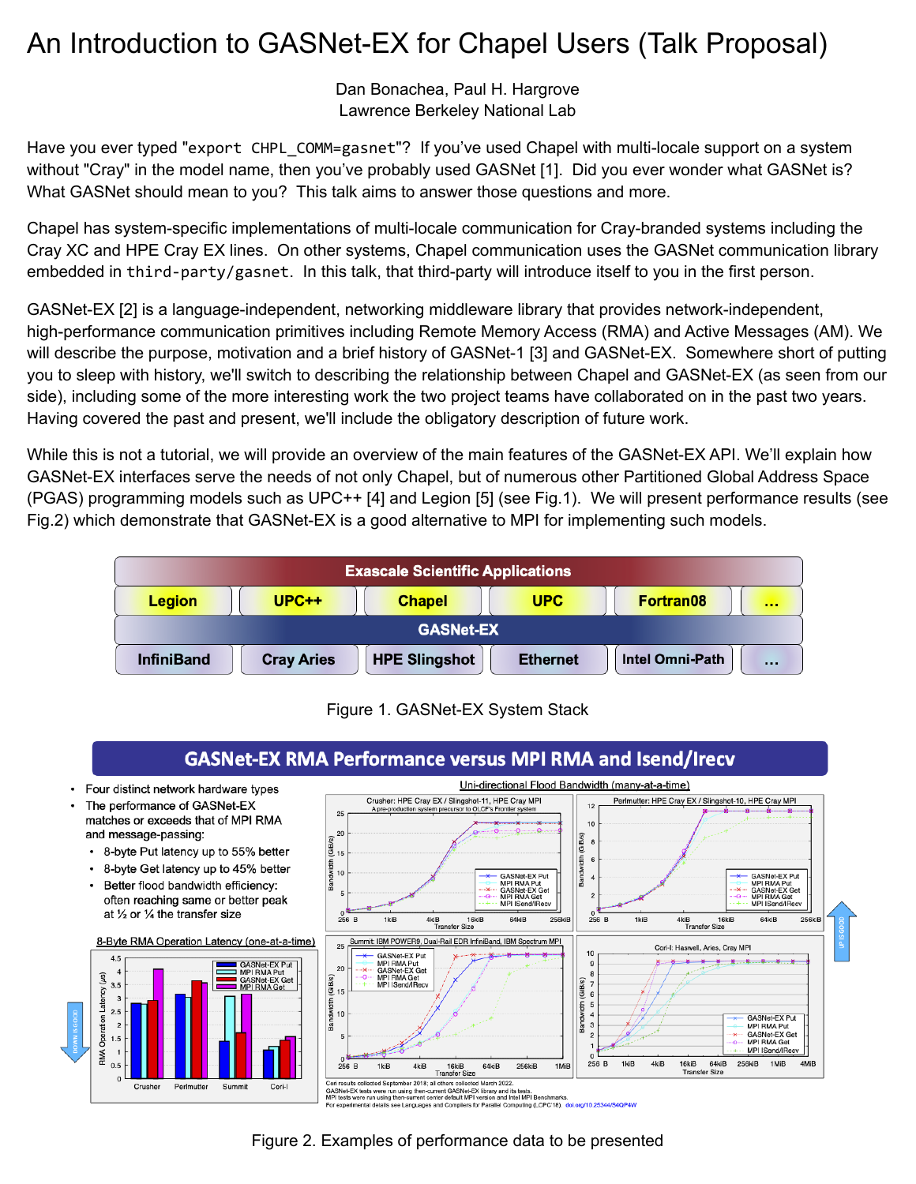## An Introduction to GASNet-EX for Chapel Users (Talk Proposal)

Dan Bonachea, Paul H. Hargrove Lawrence Berkeley National Lab

Have you ever typed "export CHPL\_COMM=gasnet"? If you've used Chapel with multi-locale support on a system without "Cray" in the model name, then you've probably used GASNet [1]. Did you ever wonder what GASNet is? What GASNet should mean to you? This talk aims to answer those questions and more.

Chapel has system-specific implementations of multi-locale communication for Cray-branded systems including the Cray XC and HPE Cray EX lines. On other systems, Chapel communication uses the GASNet communication library embedded in third-party/gasnet. In this talk, that third-party will introduce itself to you in the first person.

GASNet-EX [2] is a language-independent, networking middleware library that provides network-independent, high-performance communication primitives including Remote Memory Access (RMA) and Active Messages (AM). We will describe the purpose, motivation and a brief history of GASNet-1 [3] and GASNet-EX. Somewhere short of putting you to sleep with history, we'll switch to describing the relationship between Chapel and GASNet-EX (as seen from our side), including some of the more interesting work the two project teams have collaborated on in the past two years. Having covered the past and present, we'll include the obligatory description of future work.

While this is not a tutorial, we will provide an overview of the main features of the GASNet-EX API. We'll explain how GASNet-EX interfaces serve the needs of not only Chapel, but of numerous other Partitioned Global Address Space (PGAS) programming models such as UPC++ [4] and Legion [5] (see Fig.1). We will present performance results (see Fig.2) which demonstrate that GASNet-EX is a good alternative to MPI for implementing such models.



Figure 1. GASNet-EX System Stack



Figure 2. Examples of performance data to be presented